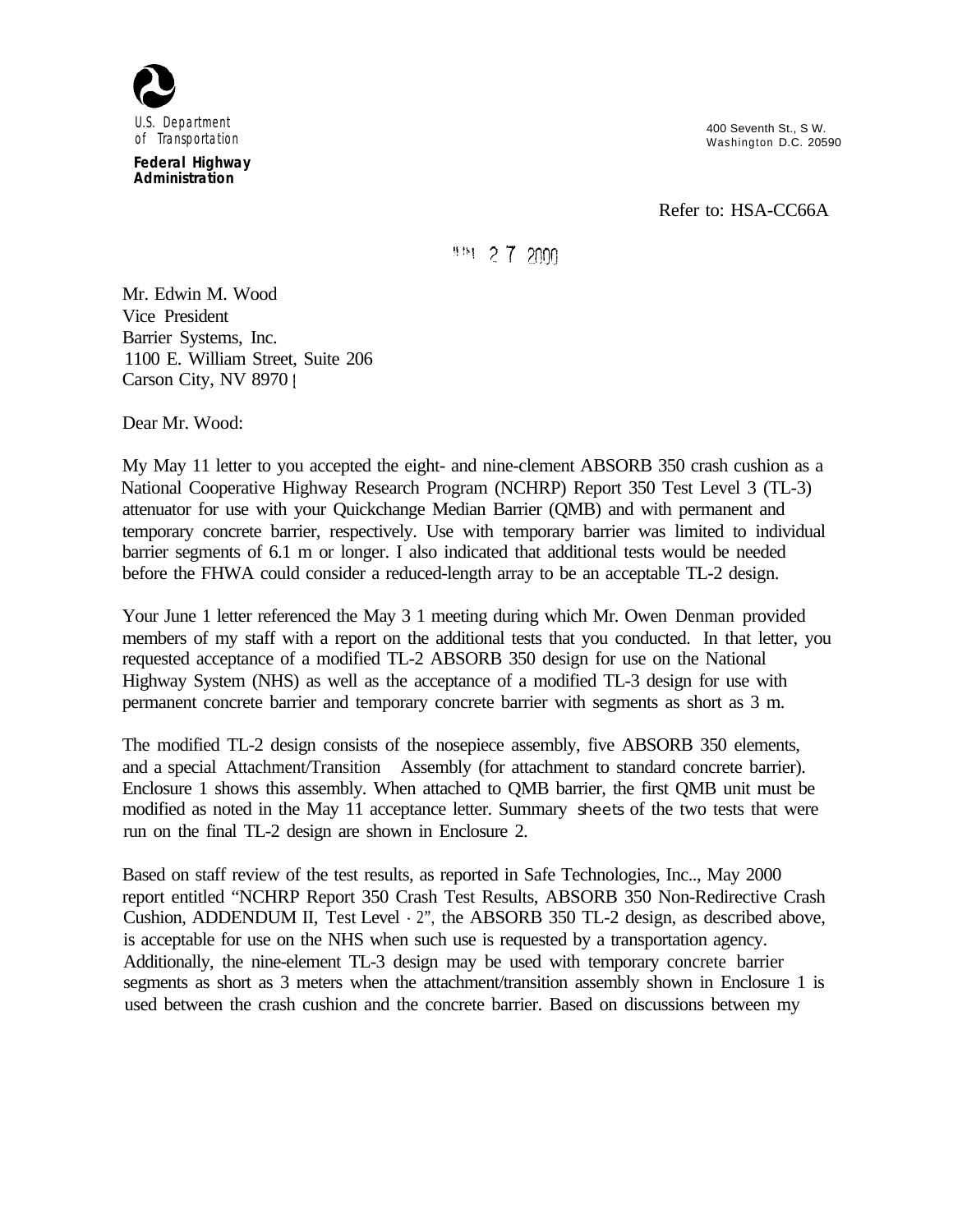

**Federal Highway Administration**

400 Seventh St., S W. Washington D.C. 20590

Refer to: HSA-CC66A

##1 2 7 2000

Mr. Edwin M. Wood Vice President Barrier Systems, Inc. 1100 E. William Street, Suite 206 Carson City, NV 8970 1

Dear Mr. Wood:

My May 11 letter to you accepted the eight- and nine-clement ABSORB 350 crash cushion as a National Cooperative Highway Research Program (NCHRP) Report 350 Test Level 3 (TL-3) attenuator for use with your Quickchange Median Barrier (QMB) and with permanent and temporary concrete barrier, respectively. Use with temporary barrier was limited to individual barrier segments of 6.1 m or longer. I also indicated that additional tests would be needed before the FHWA could consider a reduced-length array to be an acceptable TL-2 design.

Your June 1 letter referenced the May 3 1 meeting during which Mr. Owen Denman provided members of my staff with a report on the additional tests that you conducted. In that letter, you requested acceptance of a modified TL-2 ABSORB 350 design for use on the National Highway System (NHS) as well as the acceptance of a modified TL-3 design for use with permanent concrete barrier and temporary concrete barrier with segments as short as 3 m.

The modified TL-2 design consists of the nosepiece assembly, five ABSORB 350 elements, and a special Attachment/Transition Assembly (for attachment to standard concrete barrier). Enclosure 1 shows this assembly. When attached to QMB barrier, the first QMB unit must be modified as noted in the May 11 acceptance letter. Summary sheets of the two tests that were run on the final TL-2 design are shown in Enclosure 2.

Based on staff review of the test results, as reported in Safe Technologies, Inc.., May 2000 report entitled "NCHRP Report 350 Crash Test Results, ABSORB 350 Non-Redirective Crash Cushion, ADDENDUM II, Test Level - 2", the ABSORB 350 TL-2 design, as described above, is acceptable for use on the NHS when such use is requested by a transportation agency. Additionally, the nine-element TL-3 design may be used with temporary concrete barrier segments as short as 3 meters when the attachment/transition assembly shown in Enclosure 1 is used between the crash cushion and the concrete barrier. Based on discussions between my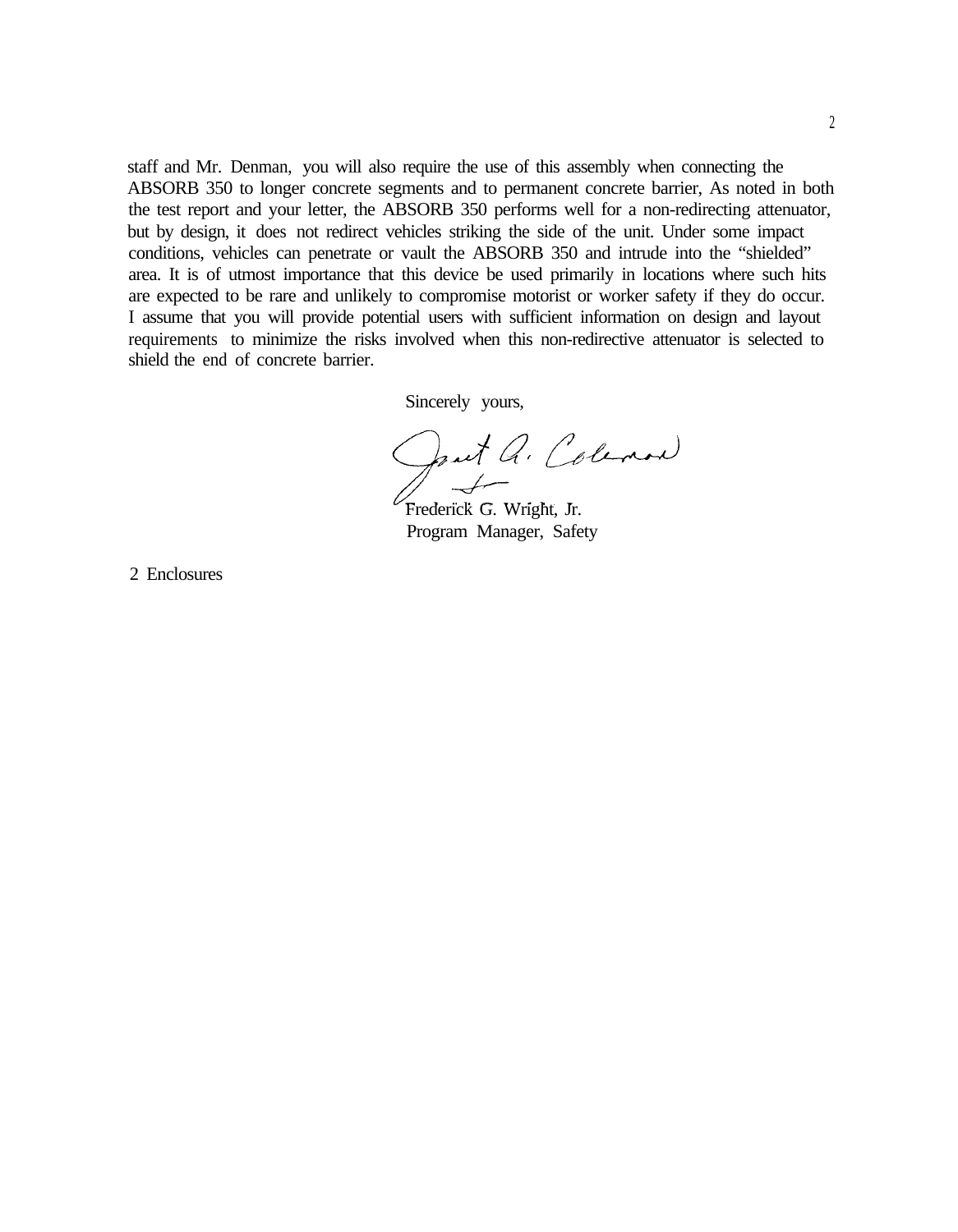staff and Mr. Denman, you will also require the use of this assembly when connecting the ABSORB 350 to longer concrete segments and to permanent concrete barrier, As noted in both the test report and your letter, the ABSORB 350 performs well for a non-redirecting attenuator, but by design, it does not redirect vehicles striking the side of the unit. Under some impact conditions, vehicles can penetrate or vault the ABSORB 350 and intrude into the "shielded" area. It is of utmost importance that this device be used primarily in locations where such hits are expected to be rare and unlikely to compromise motorist or worker safety if they do occur. I assume that you will provide potential users with sufficient information on design and layout requirements to minimize the risks involved when this non-redirective attenuator is selected to shield the end of concrete barrier.

Sincerely yours,

Just Q. Coleman

Frederick G. Wright, Jr. Program Manager, Safety

2 Enclosures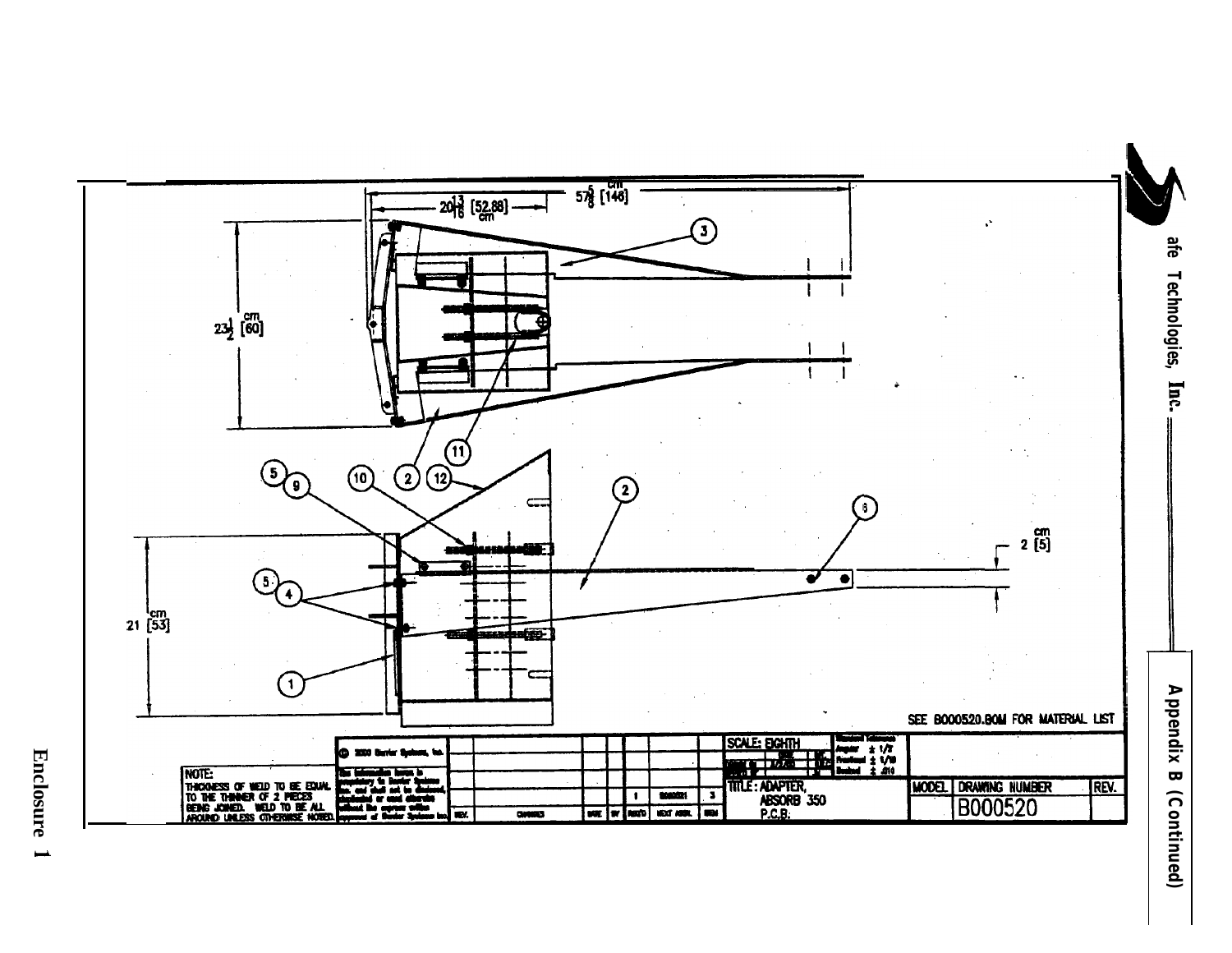

**Enclosure**  $\rightarrow$  (Continued)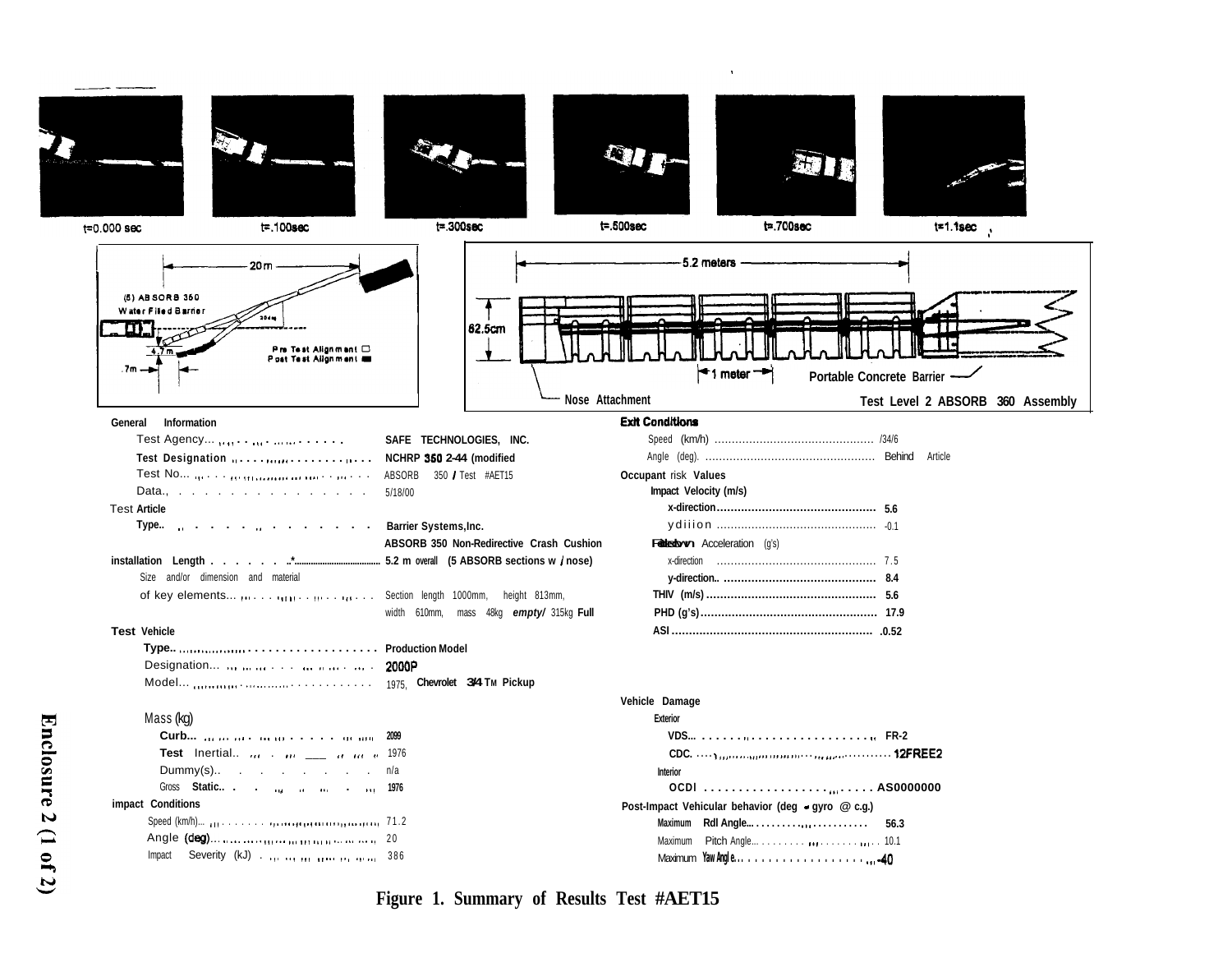